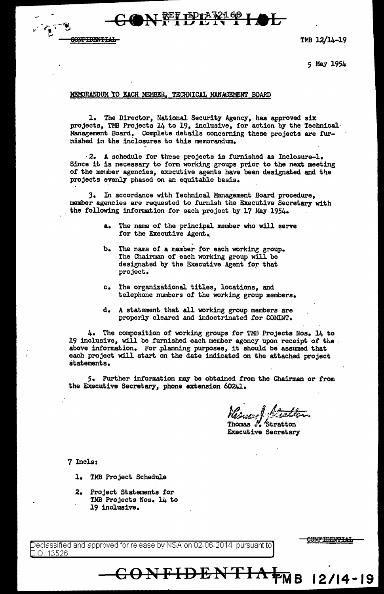$\bigcirc$  N  $\mathbb{R}$  I I I  $\mathbb{R}$   $\mathbb{R}$  I  $\mathbb{R}$ 



5 May 1954

#### MEMORANDUM TO EACH MEMBER. TECHNICAL MANAGEMENT BOARD

1. The Director, National Security Agency, has approved six projects, TMB Projects 14 to 19, inclusive, for action by the Technical.· Management Board. Complete details concerning these projects are furnished in the inclosures to this memorandum.

·2. A schedule for these projects is furnished as Inclosure-1. Since it is necessary to form working groups prior to the next meeting of the member agencies, executive agents have been designated and the projects evenly phased on an equitable basis.

*3.* In accordance with Technical Management Board procedure, member agencies are requested to furnish the Executive Secretary with the following information for each project by 17 May 1954.

- a. The name of the principal. member who will serve for the Executive Agent.
- b. The name of a member for each working group. The Chairman of each working group will be designated by the Executive Agent for that project.
- c. The organizational titles, locations, and telephone numbers or the working group members.
- d. A statement that all working group members are properly cleared and indoctrinated for COMINT.

4. The composition of working groups for TMB Projects Nos. 14 to 19 inclusive, will be furnished each member agency upon receipt of the above information. For .planning purposes, it should be assumed that each project will start on the date indicated on the attached project statements.

5. Further information may be obtained from the Chairman or from the Executive Secretary, phone extension 60241.

Thomas J. Stratton Executive Secretary

**CONFIDENTIA¥Me 12/14-19** 

7 Incls:

. .- ,,. . .,-;·-,,...• .. ,. -. *V'*  ~

<del>ONFIDENTIAL</del>

- l. TMB Project Schedule
- 2. Project Statements tor TMB Projects Nos. 14 to 19 inclusive.

eclassified and approved for release by NSA on 02-06-2014 pursuant to .0. 13526

<del>ONFIDENTIAL</del>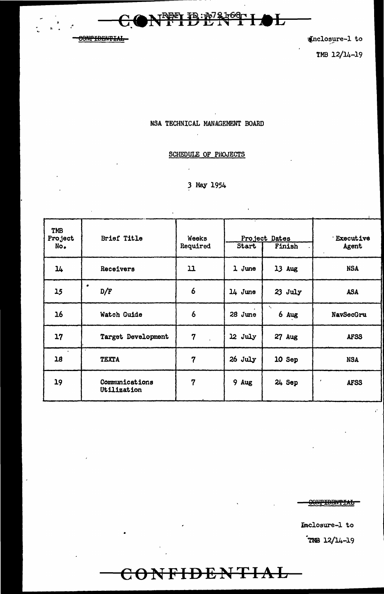----------------- -

•

... <u>Court in Eu</u>

et the extension of the extent of the extent of the extent of the extent of the extent of the extent of the extension of the extension of the extension of the extension of the extension of the extension of the extension of

旡

├

TMB 12/14-19

# NSA TECHNICAL MANAGEMENT BOARD

: A7

# SCHEDULE OF PHOJECTS

# 3 May 1954

| TMB<br>Project<br>No <sub>•</sub> | Brief Title                   | <b>Weeks</b><br>Required | Start   | Project Dates<br>Finish | <b>Executive</b><br>Agent |
|-----------------------------------|-------------------------------|--------------------------|---------|-------------------------|---------------------------|
| 14                                | Receivers                     | 11                       | 1 June  | 13 Aug                  | <b>NSA</b>                |
| 15                                | ٠<br>D/F                      | 6                        | 14 June | $23$ July               | <b>ASA</b>                |
| 16                                | Watch Guide                   | $\boldsymbol{6}$         | 28 June | $\mathbf{v}_i$<br>6 Aug | NavSecGru                 |
| 17                                | Target Development            | 7                        | 12 July | 27 Aug                  | <b>AFSS</b>               |
| 18                                | $\sim$<br><b>TEXTA</b>        | 7                        | 26 July | 10 Sep                  | <b>NSA</b>                |
| 19                                | Communications<br>Utilization | 7                        | 9 Aug   | 24 Sep                  | $\lambda$<br><b>AFSS</b>  |

 $$ 

**CONFIDENTIAL** 

J.

Inclosure-1 to ."mB 12/14-l 9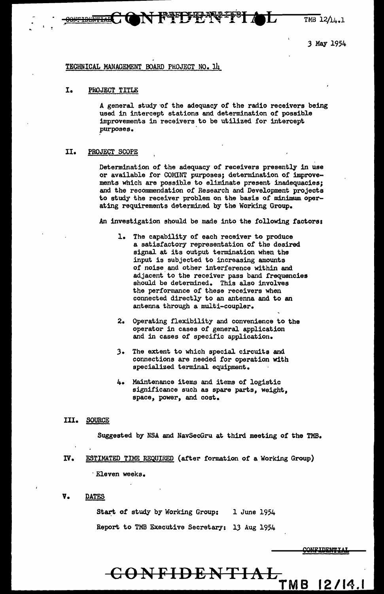$TMB$  12 $/14.1$ 

3 May 1954

## TECHNICAL MANAGEMENT BOARD PROJECT NO. 14

# I. PROJECT TITLE

A general study of the adequacy of the radio receivers being used in intercept stations and determination of possible improvements in receivers to be utilized for intercept purposes.

**FFFFERFFF AL** 

## II. PROJECT SCOPE

Determination of the adequacy of receivers presently in use or available for COMINT purposes; determination of improvements which are possible to eliminate present inadequacies; and the recommendation of Research and Development projects to study the receiver problem on the basis of minimum. operating requirements determined by the Working Group.

An investigation should be made into the following factors:

- 1. The capability of each receiver to produce a satisfactory representation of the desired signal at its output termination when the input is subjected to increasing amounts of noise and other interference within and adjacent to the receiver pass band frequencies should be determined. This also involves the performance of these receivers when connected directly to an antenna and to an antenna through a multi-coupler.
- 2. Operating flexibility and convenience to the operator in cases *of* general application and in cases of specific application.
- 3. The extent to which special circuits and connections are needed for operation with specialized terminal equipment.
- 4. Maintenance items and items of logistic significance such as spare parts, weight, space, power, and cost.

## III. SOURCE

Suggested by NSA and NavSecGru at third meeting of the TMB.

- IV. ESTIMATED TIME REQUIRED {after formation or a Working Group) · Eleven weeks.
- V. DATES

Start of study by Working Group: 1 June 1954 Report to TMB Executive Secretary: 13 Aug 1954

# CONFIDENTIAL TMB 12/14.1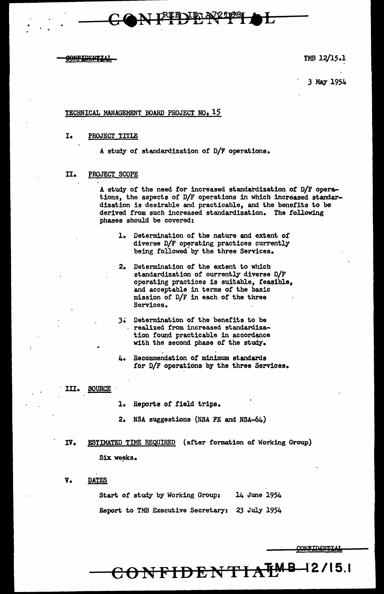

3 May 1954

## TECHNICAL MANAGEMENT BOARD PROJECT NO. 15

1. PROJECT TITLE

A study or standardization of D/F operations.

#### II. PROJECT SCOPE

A study of the need tor increased standardization of D/F operations, the aspects of D/F operations in which increased standardization is desirable and practicable, and the benefits to be derived from such increased standardization. The following phases should be covered:

- 1. Determination of the nature and extent of diverse  $D/F$  operating practices currently being followed by the three Services.
- 2. Determination of the extent to which standardization of eurrently diverse D/F operating practices is suitable, feasible, and acceptable in terms of the basic mission or D/F in each of the three Services.
- 3.; Determination of the benefits to be realized from increased standardization found practicable in accordance with the second phase of the study.
- 4. Recommendation of minimum standards for D/F operations by the three Services.
- III. SOURCE
	- l. Reports of field trips.
	- 2. NSA suggestions (NSA FE and NSA-64)
- IV. ESTIMATED TIME REQUIRED (after formation of Working Group) Six weeks.
- V. DATES

Start of study by Working Group: 14 June 1954 Report. to TMB Executive Secretary: 23 July 1954

 $\text{COMFIDENTTA}^{\text{TMB-I2/15.1}}$ 

CONFIDENTIAL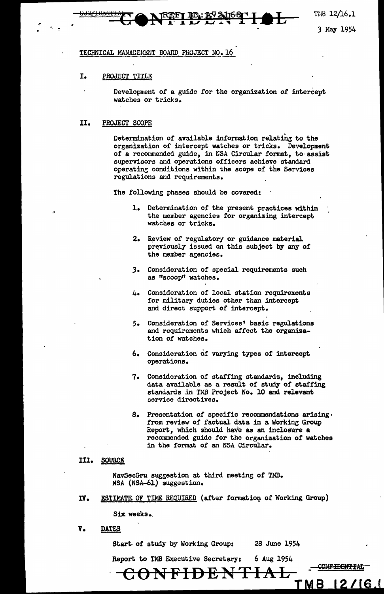THB 12/16.1

3 May 1954

#### TECHNICAL MANAGEMENT BOARD PROJECT NO. 16

#### I. PROJECT TITLE

Development of a guide for the organization of intercept watches or tricks.

#### II. PROJECT SCOPE

 $^{\prime}$ 

Determination of available information relating to the organization of intercept watches or tricks. Development or a recommended guide, in NSA Circular format, to·assist supervisors and operations officers achieve standard operating conditions within the scope of the Services regulations and requirements.

The following phases should be covered:

- 1. Determination of the present practices within the member agencies for organizing intercept watches or tricks.
- 2. Review of regulatory or guidance material previously issued on this subject by any of the member agencies.
- 3. Consideration of special requirements such as "scoop" watches.
- 4. Consideration of local station requirements for military duties other than intercept and direct support of intercept.
- *5.* Consideration of Services• basic regulations and requirements which affect the organization of watches.
- 6. Consideration of varying types or intercept operations.
- 7. Consideration of staffing standards, including data available as a result of study of staffing standards in TMB Project No. 10 and relevant service directives.
- S. Presentation of specific recommendations arising· from review of factual data in a Working Group Report, which should have as an inclosure a recommended guide for the organization of watches in the format of an NSA Circular.

#### III. SOURCE

NavSecGru suggestion at third meeting of TMB. NSA (NSA-61) suggestion.

IV. ESTIMATE OF TIME REQUIRED (after formation of Working Group)

Six. weeks.,

V. DATES

Start. of study by Working Group:

Report. to TMB Executive Secretary: 6 Aug 1954

**CONFIDENTIAL** 

<u>[MB</u>

 $12/16.1$ 

<del>XONFIDENTIAL</del>

28 Jwie 1954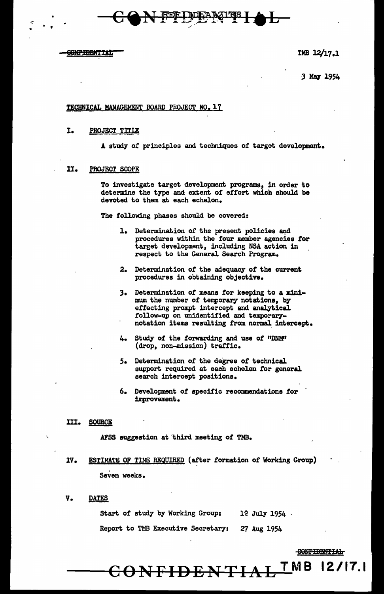**CONFIDENTIAL** 

TMB 12/17.1

3 May 1954

# TECHNICAL MANAGEMENT BOARD PROJECT NO. 17

# I. PROJECT TITLE

A study of principles and techniques of target development.

 $-CQN$  FFD PN 1981 A L

# II. PROJECT SCOPE

To investigate target development programs, in order to determine the type and extent of effort which should be devoted to them at each echelon.

The following phases should be covered:

- 1. Determination of the present policies and procedures within the four member agencies tor target development, including NSA action 1n respect to the General Search Program.
- 2. Determination of the adequacy *ot* the current procedures in obtaining objective.
- J. Determination *ot* means for keeping to a minimum the number of temporary notations, by effecting prompt intercept and analytical follow-up on unidentified and temporarynotation items resulting from normal intercept.
- 4. Study of the forwarding and use of "DNM" (drop, non-mission) traffic.
- *5.* Determination of the degree *ot* technical support required at each echelon for general search intercept positions.
- 6. Development of specific recommendations for improvement.
- III. SOURCE

AFSS suggestion at 'third meeting of TMB.

- IV. ESTIMATE OF TIME REQUIRED (after formation of Working Group) Seven weeks.
- V. DATES

Start of study by Working Group: 12 July 1954

Report to TMB Executive Secretary: 27 Aug 1954

CONF<del>IDENTIAL <sup>T</sup>MB</del> 12/17.1

CONFIDENTIAL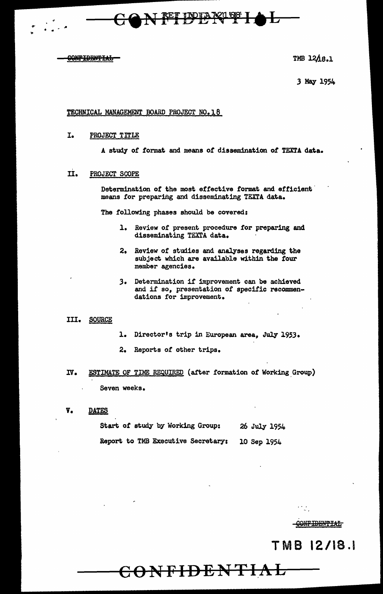<del>CONFIDENTIAL</del>

TMB 1218.1

3 May 1954

#### TECHNICAL MANAGEMENT BOARD PROJECT NO. 18

I. PROJECT TITLE

A study *ot* format and means *ot* dissemination *ot* TEX.TA data.

IDIA XII 68

II. PROJECT SCOPE

Determination of the most effective format and efficient means for preparing and disseminating TEXTA data.

The following phases should be covered:

- l. Review of present procedure for preparing and disseminating TEXTA data.
- 2. Review *ot* studies and analyses regarding the subject which are available within the four member agencies.
- ,3. Determination if improvement can be achieved and if so, presentation of specific recommendations for improvement.

## III. SOURCE

- 1. Director's trip in European area, July 1953.
- 2. Reports of other trips.
- IV. ESTIMATE OF TIME REQUIRED (after formation of Working Group) Seven weeks.
- V. DATES

|  |  |  | Start of study by Working Group:   |             | 26 July 1954 |
|--|--|--|------------------------------------|-------------|--------------|
|  |  |  | Report to TMB Executive Secretary: | 10 Sep 1954 |              |

 $\bf CONFPIDENTHAL$ 

G<del>ONFIDENTIAL</del>

 $\mathcal{L}_{\mathcal{A}}$ 

TMB 12/18.1